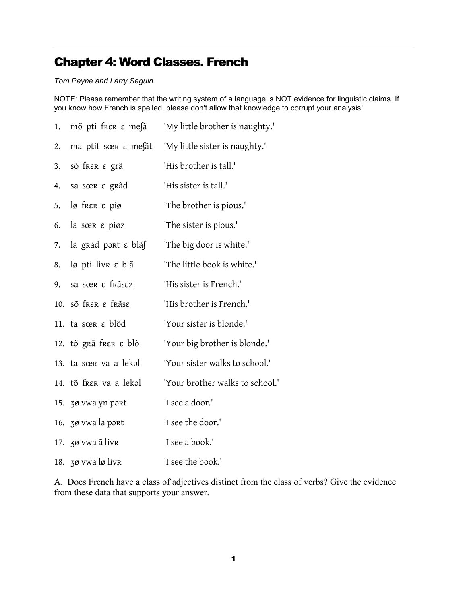## Chapter 4: Word Classes. French

## Tom Payne and Larry Seguin

NOTE: Please remember that the writing system of a language is NOT evidence for linguistic claims. If you know how French is spelled, please don't allow that knowledge to corrupt your analysis!

| 1.  | mõ pti frεκ ε mesã              | 'My little brother is naughty.' |
|-----|---------------------------------|---------------------------------|
| 2.  | ma ptit sœ $\epsilon$ messat    | 'My little sister is naughty.'  |
| 3.  | sõ frer ε grã                   | 'His brother is tall.'          |
| 4.  | sa sœr ε grãd                   | 'His sister is tall.'           |
| 5.  | $\log$ free $\epsilon$ pig      | 'The brother is pious.'         |
| 6.  | la sœr e piøz                   | 'The sister is pious.'          |
| 7.  | la grãd port $\varepsilon$ blãs | 'The big door is white.'        |
| 8.  | $\log$ pti livre e blã          | 'The little book is white.'     |
| 9.  | sa sœr e frãsez                 | 'His sister is French.'         |
|     | 10. sõ frer ε frãse             | 'His brother is French.'        |
|     | 11. ta sœR ε blõd               | 'Your sister is blonde.'        |
|     | 12. tõ grã frer e blõ           | 'Your big brother is blonde.'   |
|     | 13. ta sœr va a lekol           | 'Your sister walks to school.'  |
|     | 14. tõ frer va a lekol          | 'Your brother walks to school.' |
|     | 15. 30 vwa yn port              | 'I see a door.'                 |
|     | 16. 30 vwa la port              | 'I see the door.'               |
|     | 17. zø vwa ã livr               | 'I see a book.'                 |
| 18. | 30 vwa lø livr                  | 'I see the book.'               |

A. Does French have a class of adjectives distinct from the class of verbs? Give the evidence from these data that supports your answer.